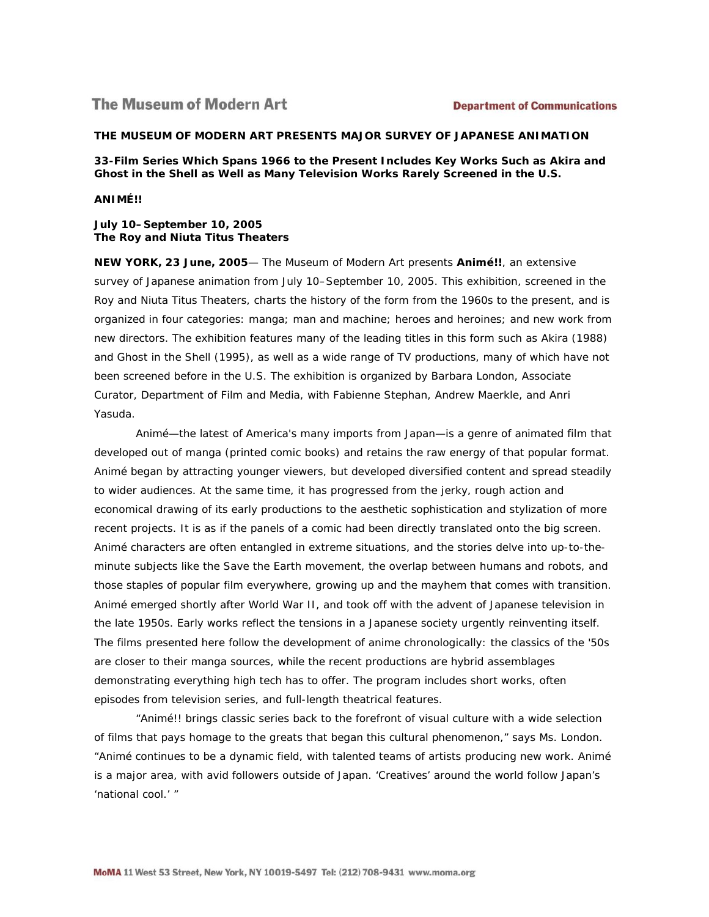# **The Museum of Modern Art**

### **THE MUSEUM OF MODERN ART PRESENTS MAJOR SURVEY OF JAPANESE ANIMATION**

**33-Film Series Which Spans 1966 to the Present Includes Key Works Such as** *Akira* **and**  *Ghost in the Shell* **as Well as Many Television Works Rarely Screened in the U.S.**

*ANIMÉ!!* 

**July 10–September 10, 2005 The Roy and Niuta Titus Theaters**

**NEW YORK, 23 June, 2005**— The Museum of Modern Art presents *Animé!!*, an extensive survey of Japanese animation from July 10–September 10, 2005. This exhibition, screened in the Roy and Niuta Titus Theaters, charts the history of the form from the 1960s to the present, and is organized in four categories: manga; man and machine; heroes and heroines; and new work from new directors. The exhibition features many of the leading titles in this form such as *Akira* (1988) and *Ghost in the Shell* (1995), as well as a wide range of TV productions, many of which have not been screened before in the U.S. The exhibition is organized by Barbara London, Associate Curator, Department of Film and Media, with Fabienne Stephan, Andrew Maerkle, and Anri Yasuda.

Animé—the latest of America's many imports from Japan—is a genre of animated film that developed out of manga (printed comic books) and retains the raw energy of that popular format. Animé began by attracting younger viewers, but developed diversified content and spread steadily to wider audiences. At the same time, it has progressed from the jerky, rough action and economical drawing of its early productions to the aesthetic sophistication and stylization of more recent projects. It is as if the panels of a comic had been directly translated onto the big screen. Animé characters are often entangled in extreme situations, and the stories delve into up-to-theminute subjects like the Save the Earth movement, the overlap between humans and robots, and those staples of popular film everywhere, growing up and the mayhem that comes with transition. Animé emerged shortly after World War II, and took off with the advent of Japanese television in the late 1950s. Early works reflect the tensions in a Japanese society urgently reinventing itself. The films presented here follow the development of anime chronologically: the classics of the '50s are closer to their manga sources, while the recent productions are hybrid assemblages demonstrating everything high tech has to offer. The program includes short works, often episodes from television series, and full-length theatrical features.

"*Animé!!* brings classic series back to the forefront of visual culture with a wide selection of films that pays homage to the greats that began this cultural phenomenon," says Ms. London. "Animé continues to be a dynamic field, with talented teams of artists producing new work. Animé is a major area, with avid followers outside of Japan. 'Creatives' around the world follow Japan's 'national cool.' "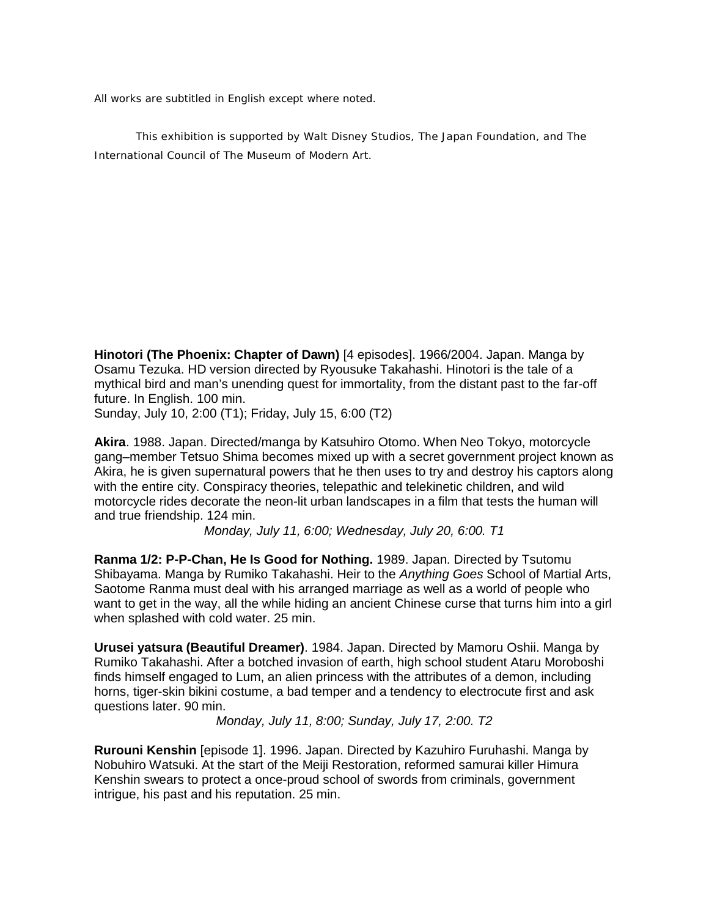All works are subtitled in English except where noted.

*This exhibition is supported by Walt Disney Studios, The Japan Foundation, and The International Council of The Museum of Modern Art.*

**Hinotori (The Phoenix: Chapter of Dawn)** [4 episodes]. 1966/2004. Japan. Manga by Osamu Tezuka. HD version directed by Ryousuke Takahashi. Hinotori is the tale of a mythical bird and man's unending quest for immortality, from the distant past to the far-off future. In English. 100 min.

Sunday, July 10, 2:00 (T1); Friday, July 15, 6:00 (T2)

**Akira**. 1988. Japan. Directed/manga by Katsuhiro Otomo. When Neo Tokyo, motorcycle gang–member Tetsuo Shima becomes mixed up with a secret government project known as Akira, he is given supernatural powers that he then uses to try and destroy his captors along with the entire city. Conspiracy theories, telepathic and telekinetic children, and wild motorcycle rides decorate the neon-lit urban landscapes in a film that tests the human will and true friendship. 124 min.

*Monday, July 11, 6:00; Wednesday, July 20, 6:00. T1*

**Ranma 1/2: P-P-Chan, He Is Good for Nothing.** 1989. Japan. Directed by Tsutomu Shibayama. Manga by Rumiko Takahashi. Heir to the *Anything Goes* School of Martial Arts, Saotome Ranma must deal with his arranged marriage as well as a world of people who want to get in the way, all the while hiding an ancient Chinese curse that turns him into a girl when splashed with cold water. 25 min.

**Urusei yatsura (Beautiful Dreamer)**. 1984. Japan. Directed by Mamoru Oshii. Manga by Rumiko Takahashi. After a botched invasion of earth, high school student Ataru Moroboshi finds himself engaged to Lum, an alien princess with the attributes of a demon, including horns, tiger-skin bikini costume, a bad temper and a tendency to electrocute first and ask questions later. 90 min.

*Monday, July 11, 8:00; Sunday, July 17, 2:00. T2*

**Rurouni Kenshin** [episode 1]. 1996. Japan. Directed by Kazuhiro Furuhashi. Manga by Nobuhiro Watsuki. At the start of the Meiji Restoration, reformed samurai killer Himura Kenshin swears to protect a once-proud school of swords from criminals, government intrigue, his past and his reputation. 25 min.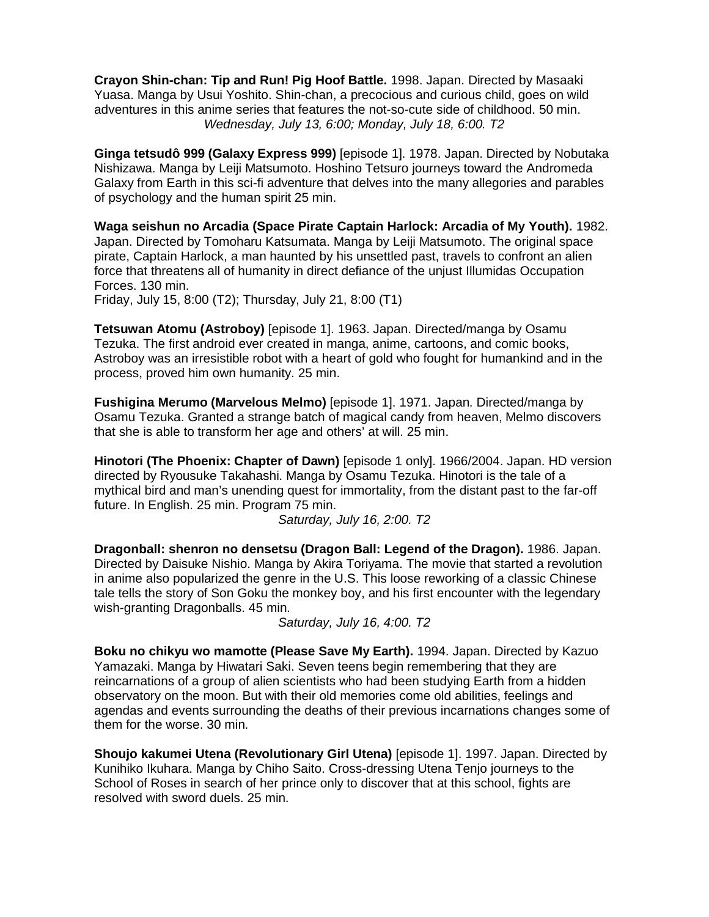**Crayon Shin-chan: Tip and Run! Pig Hoof Battle.** 1998. Japan. Directed by Masaaki Yuasa. Manga by Usui Yoshito. Shin-chan, a precocious and curious child, goes on wild adventures in this anime series that features the not-so-cute side of childhood. 50 min. *Wednesday, July 13, 6:00; Monday, July 18, 6:00. T2*

**Ginga tetsudô 999 (Galaxy Express 999)** [episode 1]. 1978. Japan. Directed by Nobutaka Nishizawa. Manga by Leiji Matsumoto. Hoshino Tetsuro journeys toward the Andromeda Galaxy from Earth in this sci-fi adventure that delves into the many allegories and parables of psychology and the human spirit 25 min.

**Waga seishun no Arcadia (Space Pirate Captain Harlock: Arcadia of My Youth).** 1982. Japan. Directed by Tomoharu Katsumata. Manga by Leiji Matsumoto. The original space pirate, Captain Harlock, a man haunted by his unsettled past, travels to confront an alien force that threatens all of humanity in direct defiance of the unjust Illumidas Occupation Forces. 130 min.

Friday, July 15, 8:00 (T2); Thursday, July 21, 8:00 (T1)

**Tetsuwan Atomu (Astroboy)** [episode 1]. 1963. Japan. Directed/manga by Osamu Tezuka. The first android ever created in manga, anime, cartoons, and comic books, Astroboy was an irresistible robot with a heart of gold who fought for humankind and in the process, proved him own humanity. 25 min.

**Fushigina Merumo (Marvelous Melmo)** [episode 1]. 1971. Japan. Directed/manga by Osamu Tezuka. Granted a strange batch of magical candy from heaven, Melmo discovers that she is able to transform her age and others' at will. 25 min.

**Hinotori (The Phoenix: Chapter of Dawn)** [episode 1 only]. 1966/2004. Japan. HD version directed by Ryousuke Takahashi. Manga by Osamu Tezuka. Hinotori is the tale of a mythical bird and man's unending quest for immortality, from the distant past to the far-off future. In English. 25 min. Program 75 min.

*Saturday, July 16, 2:00. T2*

**Dragonball: shenron no densetsu (Dragon Ball: Legend of the Dragon).** 1986. Japan. Directed by Daisuke Nishio. Manga by Akira Toriyama. The movie that started a revolution in anime also popularized the genre in the U.S. This loose reworking of a classic Chinese tale tells the story of Son Goku the monkey boy, and his first encounter with the legendary wish-granting Dragonballs. 45 min.

*Saturday, July 16, 4:00. T2*

**Boku no chikyu wo mamotte (Please Save My Earth).** 1994. Japan. Directed by Kazuo Yamazaki. Manga by Hiwatari Saki. Seven teens begin remembering that they are reincarnations of a group of alien scientists who had been studying Earth from a hidden observatory on the moon. But with their old memories come old abilities, feelings and agendas and events surrounding the deaths of their previous incarnations changes some of them for the worse. 30 min.

**Shoujo kakumei Utena (Revolutionary Girl Utena)** [episode 1]. 1997. Japan. Directed by Kunihiko Ikuhara. Manga by Chiho Saito. Cross-dressing Utena Tenjo journeys to the School of Roses in search of her prince only to discover that at this school, fights are resolved with sword duels. 25 min.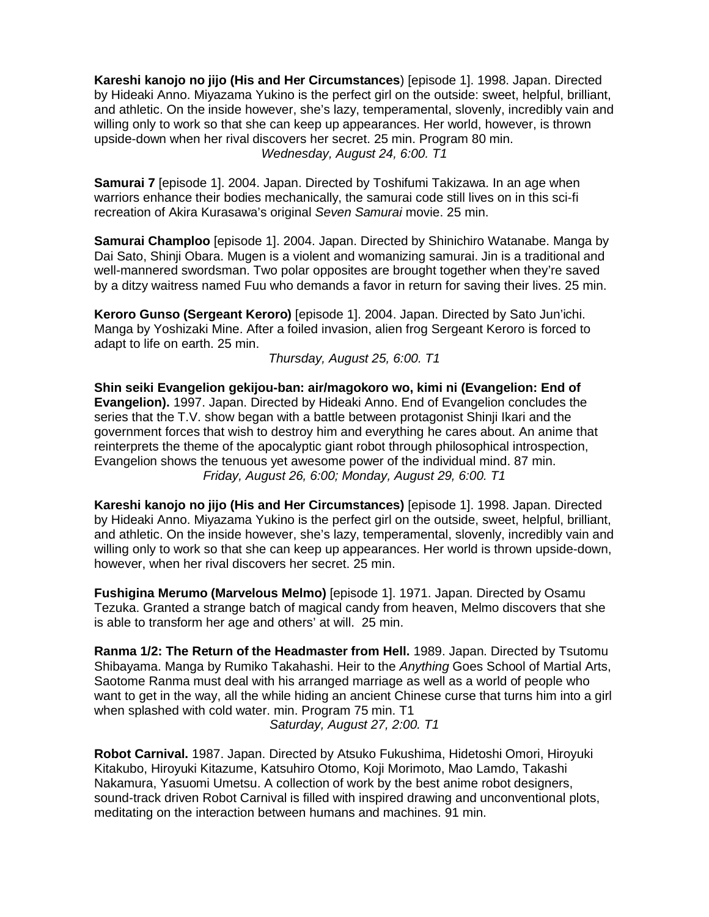**Kareshi kanojo no jijo (His and Her Circumstances**) [episode 1]. 1998. Japan. Directed by Hideaki Anno. Miyazama Yukino is the perfect girl on the outside: sweet, helpful, brilliant, and athletic. On the inside however, she's lazy, temperamental, slovenly, incredibly vain and willing only to work so that she can keep up appearances. Her world, however, is thrown upside-down when her rival discovers her secret. 25 min. Program 80 min. *Wednesday, August 24, 6:00. T1*

**Samurai 7** [episode 1]. 2004. Japan. Directed by Toshifumi Takizawa. In an age when warriors enhance their bodies mechanically, the samurai code still lives on in this sci-fi recreation of Akira Kurasawa's original *Seven Samurai* movie. 25 min.

**Samurai Champloo** [episode 1]. 2004. Japan. Directed by Shinichiro Watanabe. Manga by Dai Sato, Shinji Obara. Mugen is a violent and womanizing samurai. Jin is a traditional and well-mannered swordsman. Two polar opposites are brought together when they're saved by a ditzy waitress named Fuu who demands a favor in return for saving their lives. 25 min.

**Keroro Gunso (Sergeant Keroro)** [episode 1]. 2004. Japan. Directed by Sato Jun'ichi. Manga by Yoshizaki Mine. After a foiled invasion, alien frog Sergeant Keroro is forced to adapt to life on earth. 25 min.

*Thursday, August 25, 6:00. T1*

**Shin seiki Evangelion gekijou-ban: air/magokoro wo, kimi ni (Evangelion: End of Evangelion).** 1997. Japan. Directed by Hideaki Anno. End of Evangelion concludes the series that the T.V. show began with a battle between protagonist Shinji Ikari and the government forces that wish to destroy him and everything he cares about. An anime that reinterprets the theme of the apocalyptic giant robot through philosophical introspection, Evangelion shows the tenuous yet awesome power of the individual mind. 87 min. *Friday, August 26, 6:00; Monday, August 29, 6:00. T1*

**Kareshi kanojo no jijo (His and Her Circumstances)** [episode 1]. 1998. Japan. Directed by Hideaki Anno. Miyazama Yukino is the perfect girl on the outside, sweet, helpful, brilliant, and athletic. On the inside however, she's lazy, temperamental, slovenly, incredibly vain and willing only to work so that she can keep up appearances. Her world is thrown upside-down, however, when her rival discovers her secret. 25 min.

**Fushigina Merumo (Marvelous Melmo)** [episode 1]. 1971. Japan. Directed by Osamu Tezuka. Granted a strange batch of magical candy from heaven, Melmo discovers that she is able to transform her age and others' at will. 25 min.

**Ranma 1/2: The Return of the Headmaster from Hell.** 1989. Japan. Directed by Tsutomu Shibayama. Manga by Rumiko Takahashi. Heir to the *Anything* Goes School of Martial Arts, Saotome Ranma must deal with his arranged marriage as well as a world of people who want to get in the way, all the while hiding an ancient Chinese curse that turns him into a girl when splashed with cold water. min. Program 75 min. T1

*Saturday, August 27, 2:00. T1*

**Robot Carnival.** 1987. Japan. Directed by Atsuko Fukushima, Hidetoshi Omori, Hiroyuki Kitakubo, Hiroyuki Kitazume, Katsuhiro Otomo, Koji Morimoto, Mao Lamdo, Takashi Nakamura, Yasuomi Umetsu. A collection of work by the best anime robot designers, sound-track driven Robot Carnival is filled with inspired drawing and unconventional plots, meditating on the interaction between humans and machines. 91 min.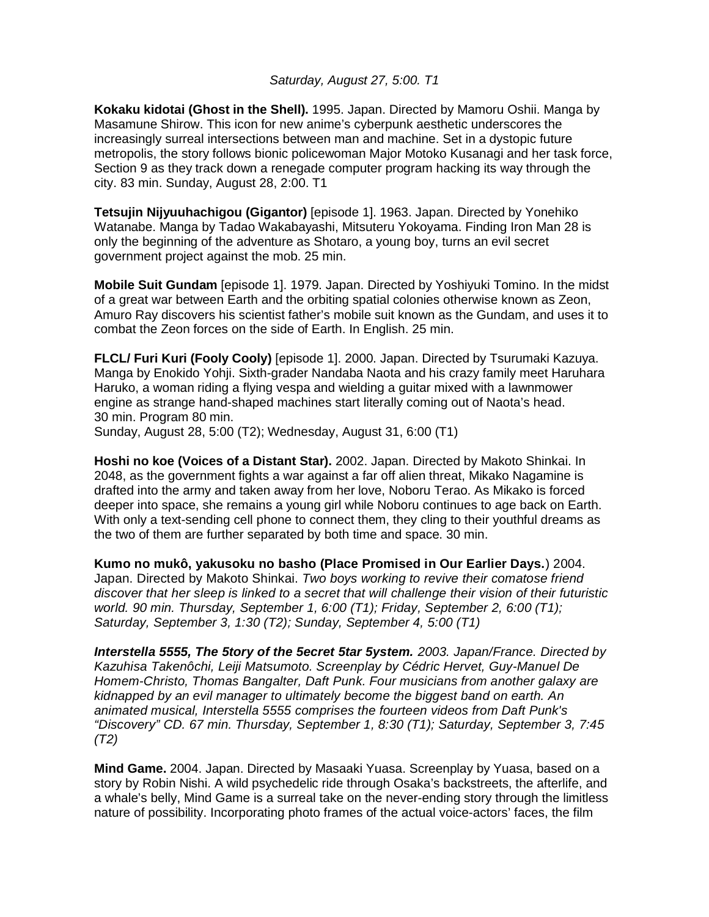# *Saturday, August 27, 5:00. T1*

**Kokaku kidotai (Ghost in the Shell).** 1995. Japan. Directed by Mamoru Oshii. Manga by Masamune Shirow. This icon for new anime's cyberpunk aesthetic underscores the increasingly surreal intersections between man and machine. Set in a dystopic future metropolis, the story follows bionic policewoman Major Motoko Kusanagi and her task force, Section 9 as they track down a renegade computer program hacking its way through the city. 83 min. Sunday, August 28, 2:00. T1

**Tetsujin Nijyuuhachigou (Gigantor)** [episode 1]. 1963. Japan. Directed by Yonehiko Watanabe. Manga by Tadao Wakabayashi, Mitsuteru Yokoyama. Finding Iron Man 28 is only the beginning of the adventure as Shotaro, a young boy, turns an evil secret government project against the mob. 25 min.

**Mobile Suit Gundam** [episode 1]. 1979. Japan. Directed by Yoshiyuki Tomino. In the midst of a great war between Earth and the orbiting spatial colonies otherwise known as Zeon, Amuro Ray discovers his scientist father's mobile suit known as the Gundam, and uses it to combat the Zeon forces on the side of Earth. In English. 25 min.

**FLCL/ Furi Kuri (Fooly Cooly)** [episode 1]. 2000. Japan. Directed by Tsurumaki Kazuya. Manga by Enokido Yohji. Sixth-grader Nandaba Naota and his crazy family meet Haruhara Haruko, a woman riding a flying vespa and wielding a guitar mixed with a lawnmower engine as strange hand-shaped machines start literally coming out of Naota's head. 30 min. Program 80 min.

Sunday, August 28, 5:00 (T2); Wednesday, August 31, 6:00 (T1)

**Hoshi no koe (Voices of a Distant Star).** 2002. Japan. Directed by Makoto Shinkai. In 2048, as the government fights a war against a far off alien threat, Mikako Nagamine is drafted into the army and taken away from her love, Noboru Terao. As Mikako is forced deeper into space, she remains a young girl while Noboru continues to age back on Earth. With only a text-sending cell phone to connect them, they cling to their youthful dreams as the two of them are further separated by both time and space. 30 min.

**Kumo no mukô, yakusoku no basho (Place Promised in Our Earlier Days.**) 2004. Japan. Directed by Makoto Shinkai. *Two boys working to revive their comatose friend discover that her sleep is linked to a secret that will challenge their vision of their futuristic world. 90 min. Thursday, September 1, 6:00 (T1); Friday, September 2, 6:00 (T1); Saturday, September 3, 1:30 (T2); Sunday, September 4, 5:00 (T1)*

*Interstella 5555, The 5tory of the 5ecret 5tar 5ystem. 2003. Japan/France. Directed by Kazuhisa Takenôchi, Leiji Matsumoto. Screenplay by Cédric Hervet, Guy-Manuel De Homem-Christo, Thomas Bangalter, Daft Punk. Four musicians from another galaxy are kidnapped by an evil manager to ultimately become the biggest band on earth. An animated musical, Interstella 5555 comprises the fourteen videos from Daft Punk's "Discovery" CD. 67 min. Thursday, September 1, 8:30 (T1); Saturday, September 3, 7:45 (T2)*

**Mind Game.** 2004. Japan. Directed by Masaaki Yuasa. Screenplay by Yuasa, based on a story by Robin Nishi. A wild psychedelic ride through Osaka's backstreets, the afterlife, and a whale's belly, Mind Game is a surreal take on the never-ending story through the limitless nature of possibility. Incorporating photo frames of the actual voice-actors' faces, the film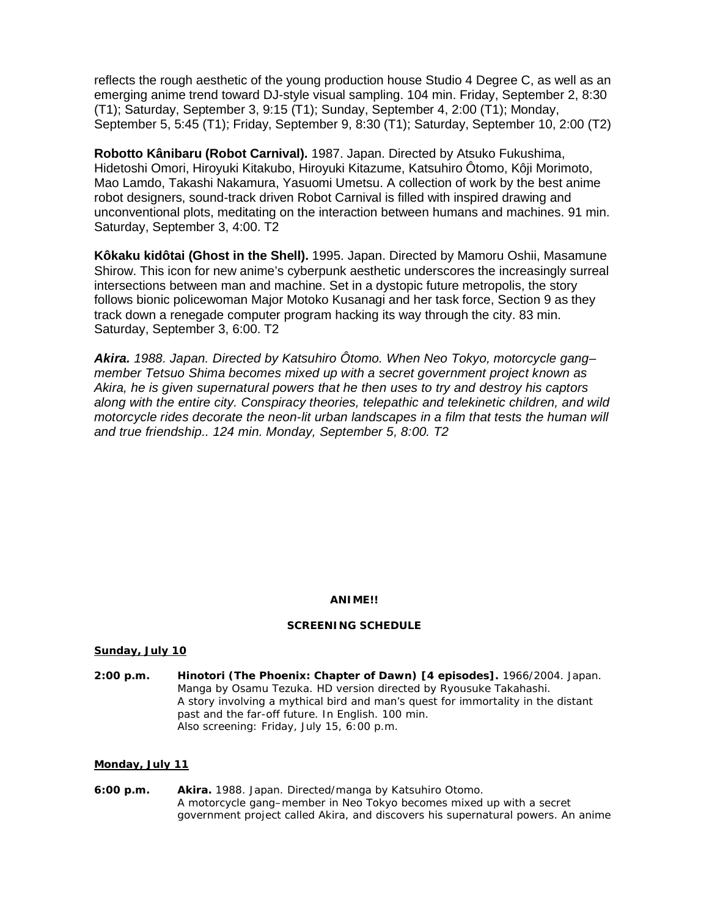reflects the rough aesthetic of the young production house Studio 4 Degree C, as well as an emerging anime trend toward DJ-style visual sampling. 104 min. Friday, September 2, 8:30 (T1); Saturday, September 3, 9:15 (T1); Sunday, September 4, 2:00 (T1); Monday, September 5, 5:45 (T1); Friday, September 9, 8:30 (T1); Saturday, September 10, 2:00 (T2)

**Robotto Kânibaru (Robot Carnival).** 1987. Japan. Directed by Atsuko Fukushima, Hidetoshi Omori, Hiroyuki Kitakubo, Hiroyuki Kitazume, Katsuhiro Ôtomo, Kôji Morimoto, Mao Lamdo, Takashi Nakamura, Yasuomi Umetsu. A collection of work by the best anime robot designers, sound-track driven Robot Carnival is filled with inspired drawing and unconventional plots, meditating on the interaction between humans and machines. 91 min. Saturday, September 3, 4:00. T2

**Kôkaku kidôtai (Ghost in the Shell).** 1995. Japan. Directed by Mamoru Oshii, Masamune Shirow. This icon for new anime's cyberpunk aesthetic underscores the increasingly surreal intersections between man and machine. Set in a dystopic future metropolis, the story follows bionic policewoman Major Motoko Kusanagi and her task force, Section 9 as they track down a renegade computer program hacking its way through the city. 83 min. Saturday, September 3, 6:00. T2

*Akira. 1988. Japan. Directed by Katsuhiro Ôtomo. When Neo Tokyo, motorcycle gang– member Tetsuo Shima becomes mixed up with a secret government project known as Akira, he is given supernatural powers that he then uses to try and destroy his captors along with the entire city. Conspiracy theories, telepathic and telekinetic children, and wild motorcycle rides decorate the neon-lit urban landscapes in a film that tests the human will and true friendship.. 124 min. Monday, September 5, 8:00. T2*

## *ANIME!!*

### **SCREENING SCHEDULE**

### **Sunday, July 10**

**2:00 p.m.** *Hinotori (The Phoenix: Chapter of Dawn)* **[4 episodes].** 1966/2004. Japan. Manga by Osamu Tezuka. HD version directed by Ryousuke Takahashi. A story involving a mythical bird and man's quest for immortality in the distant past and the far-off future. In English. 100 min. Also screening: Friday, July 15, 6:00 p.m.

### **Monday, July 11**

**6:00 p.m.** *Akira***.** 1988. Japan. Directed/manga by Katsuhiro Otomo. A motorcycle gang–member in Neo Tokyo becomes mixed up with a secret government project called Akira, and discovers his supernatural powers. An anime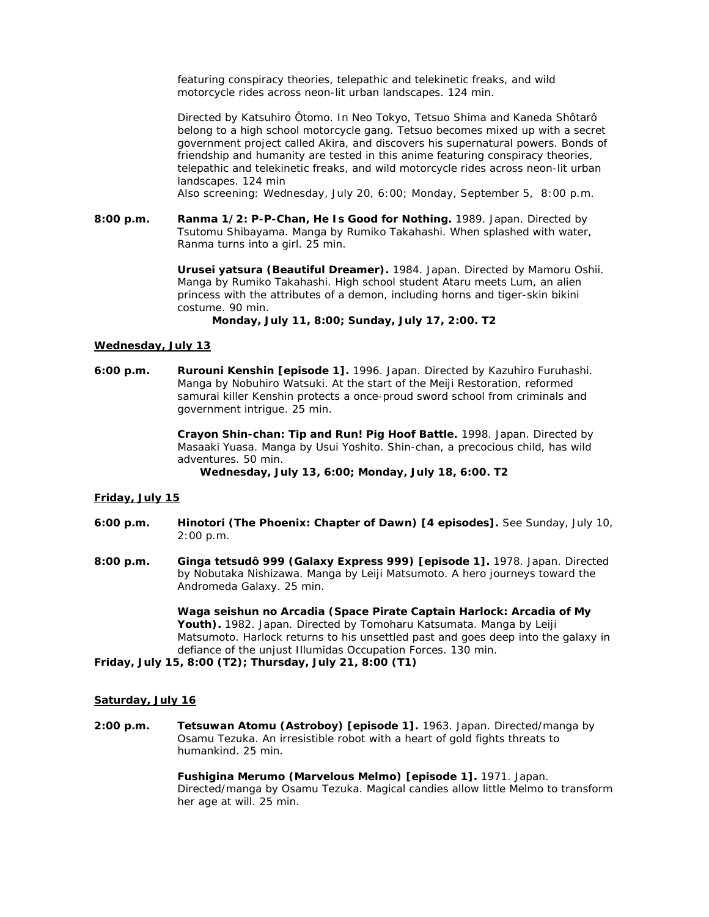featuring conspiracy theories, telepathic and telekinetic freaks, and wild motorcycle rides across neon-lit urban landscapes. 124 min.

Directed by Katsuhiro Ôtomo. In Neo Tokyo, Tetsuo Shima and Kaneda Shôtarô belong to a high school motorcycle gang. Tetsuo becomes mixed up with a secret government project called Akira, and discovers his supernatural powers. Bonds of friendship and humanity are tested in this anime featuring conspiracy theories, telepathic and telekinetic freaks, and wild motorcycle rides across neon-lit urban landscapes. 124 min

Also screening: Wednesday, July 20, 6:00; Monday, September 5, 8:00 p.m.

**8:00 p.m.** *Ranma 1/2: P-P-Chan, He Is Good for Nothing.* 1989. Japan. Directed by Tsutomu Shibayama. Manga by Rumiko Takahashi. When splashed with water, Ranma turns into a girl. 25 min.

> *Urusei yatsura (Beautiful Dreamer).* 1984. Japan. Directed by Mamoru Oshii. Manga by Rumiko Takahashi. High school student Ataru meets Lum, an alien princess with the attributes of a demon, including horns and tiger-skin bikini costume. 90 min.

*Monday, July 11, 8:00; Sunday, July 17, 2:00. T2*

#### **Wednesday, July 13**

**6:00 p.m.** *Rurouni Kenshin* **[episode 1].** 1996. Japan. Directed by Kazuhiro Furuhashi. Manga by Nobuhiro Watsuki. At the start of the Meiji Restoration, reformed samurai killer Kenshin protects a once-proud sword school from criminals and government intrigue. 25 min.

> *Crayon Shin-chan: Tip and Run! Pig Hoof Battle.* 1998. Japan. Directed by Masaaki Yuasa. Manga by Usui Yoshito. Shin-chan, a precocious child, has wild adventures. 50 min.

*Wednesday, July 13, 6:00; Monday, July 18, 6:00. T2*

### **Friday, July 15**

- **6:00 p.m.** *Hinotori (The Phoenix: Chapter of Dawn)* **[4 episodes].** See Sunday, July 10, 2:00 p.m.
- **8:00 p.m.** *Ginga tetsudô 999 (Galaxy Express 999)* **[episode 1].** 1978. Japan. Directed by Nobutaka Nishizawa. Manga by Leiji Matsumoto. A hero journeys toward the Andromeda Galaxy. 25 min.

*Waga seishun no Arcadia (Space Pirate Captain Harlock: Arcadia of My Youth).* 1982. Japan. Directed by Tomoharu Katsumata. Manga by Leiji Matsumoto. Harlock returns to his unsettled past and goes deep into the galaxy in defiance of the unjust Illumidas Occupation Forces. 130 min.

**Friday, July 15, 8:00 (T2); Thursday, July 21, 8:00 (T1)**

#### **Saturday, July 16**

**2:00 p.m.** *Tetsuwan Atomu (Astroboy)* **[episode 1].** 1963. Japan. Directed/manga by Osamu Tezuka. An irresistible robot with a heart of gold fights threats to humankind. 25 min.

> *Fushigina Merumo (Marvelous Melmo)* **[episode 1].** 1971. Japan. Directed/manga by Osamu Tezuka. Magical candies allow little Melmo to transform her age at will. 25 min.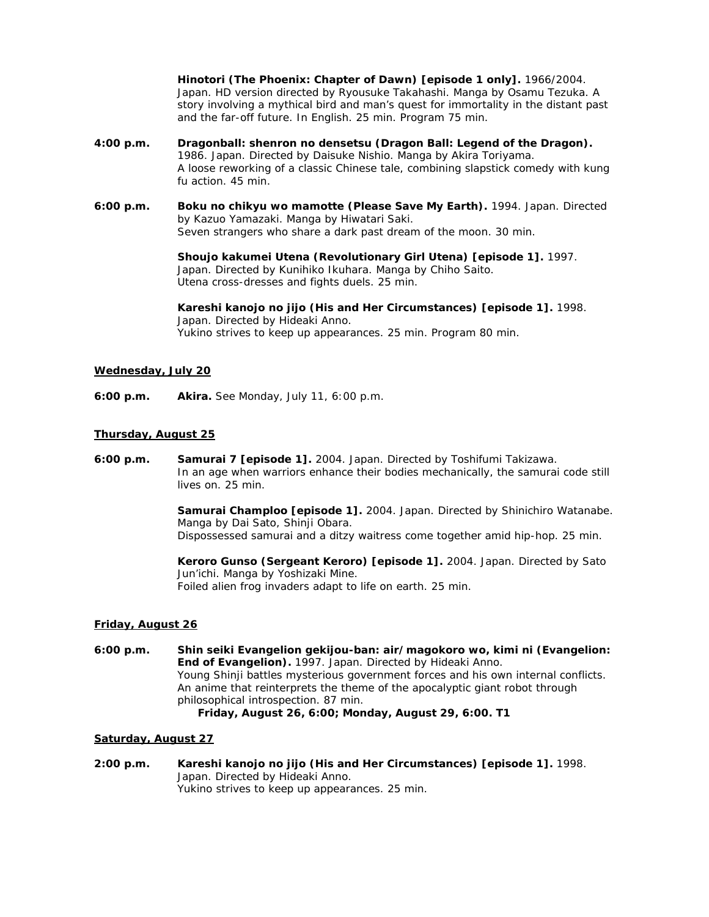*Hinotori (The Phoenix: Chapter of Dawn)* **[episode 1 only].** 1966/2004. Japan. HD version directed by Ryousuke Takahashi. Manga by Osamu Tezuka. A story involving a mythical bird and man's quest for immortality in the distant past and the far-off future. In English. 25 min. Program 75 min.

- **4:00 p.m.** *Dragonball: shenron no densetsu (Dragon Ball: Legend of the Dragon).* 1986. Japan. Directed by Daisuke Nishio. Manga by Akira Toriyama. A loose reworking of a classic Chinese tale, combining slapstick comedy with kung fu action. 45 min.
- **6:00 p.m.** *Boku no chikyu wo mamotte (Please Save My Earth).* 1994. Japan. Directed by Kazuo Yamazaki. Manga by Hiwatari Saki. Seven strangers who share a dark past dream of the moon. 30 min.

*Shoujo kakumei Utena (Revolutionary Girl Utena)* **[episode 1].** 1997. Japan. Directed by Kunihiko Ikuhara. Manga by Chiho Saito. Utena cross-dresses and fights duels. 25 min.

*Kareshi kanojo no jijo (His and Her Circumstances)* **[episode 1].** 1998. Japan. Directed by Hideaki Anno. Yukino strives to keep up appearances. 25 min. Program 80 min.

## **Wednesday, July 20**

**6:00 p.m.** *Akira***.** See Monday, July 11, 6:00 p.m.

### **Thursday, August 25**

**6:00 p.m.** *Samurai 7* **[episode 1].** 2004. Japan. Directed by Toshifumi Takizawa. In an age when warriors enhance their bodies mechanically, the samurai code still lives on. 25 min.

> *Samurai Champloo* **[episode 1].** 2004. Japan. Directed by Shinichiro Watanabe. Manga by Dai Sato, Shinji Obara. Dispossessed samurai and a ditzy waitress come together amid hip-hop. 25 min.

*Keroro Gunso (Sergeant Keroro)* **[episode 1].** 2004. Japan. Directed by Sato Jun'ichi. Manga by Yoshizaki Mine. Foiled alien frog invaders adapt to life on earth. 25 min.

### **Friday, August 26**

**6:00 p.m.** *Shin seiki Evangelion gekijou-ban: air/magokoro wo, kimi ni (Evangelion: End of Evangelion).* 1997. Japan. Directed by Hideaki Anno. Young Shinji battles mysterious government forces and his own internal conflicts. An anime that reinterprets the theme of the apocalyptic giant robot through philosophical introspection. 87 min. *Friday, August 26, 6:00; Monday, August 29, 6:00. T1*

### **Saturday, August 27**

**2:00 p.m.** *Kareshi kanojo no jijo (His and Her Circumstances)* **[episode 1].** 1998. Japan. Directed by Hideaki Anno. Yukino strives to keep up appearances. 25 min.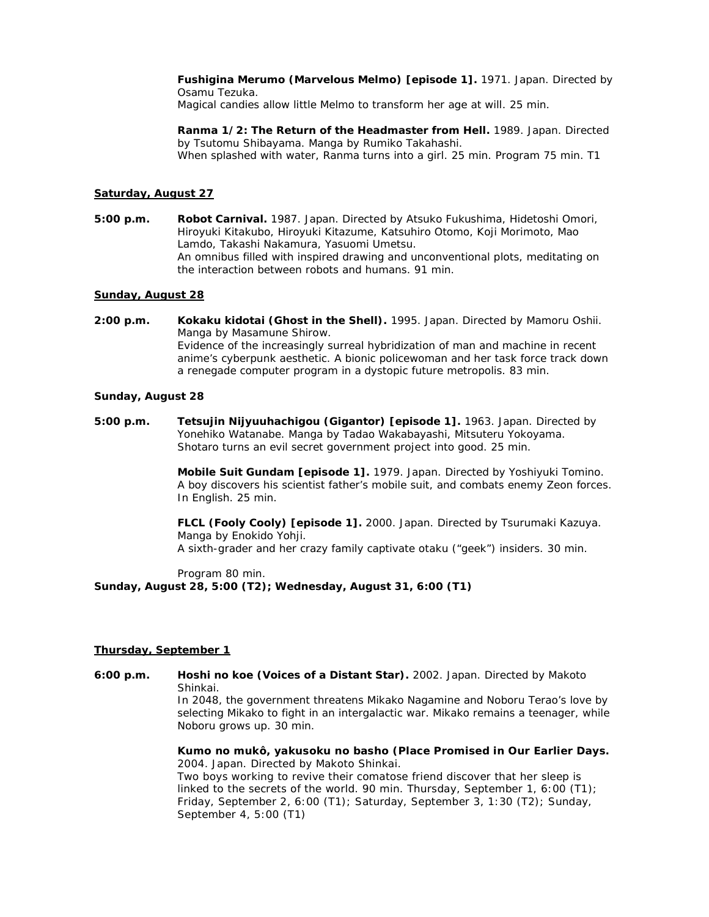*Fushigina Merumo (Marvelous Melmo)* **[episode 1].** 1971. Japan. Directed by Osamu Tezuka. Magical candies allow little Melmo to transform her age at will. 25 min.

*Ranma 1/2: The Return of the Headmaster from Hell***.** 1989. Japan. Directed by Tsutomu Shibayama. Manga by Rumiko Takahashi. When splashed with water, Ranma turns into a girl. 25 min. Program 75 min. T1

## **Saturday, August 27**

**5:00 p.m.** *Robot Carnival.* 1987. Japan. Directed by Atsuko Fukushima, Hidetoshi Omori, Hiroyuki Kitakubo, Hiroyuki Kitazume, Katsuhiro Otomo, Koji Morimoto, Mao Lamdo, Takashi Nakamura, Yasuomi Umetsu. An omnibus filled with inspired drawing and unconventional plots, meditating on the interaction between robots and humans. 91 min.

### **Sunday, August 28**

**2:00 p.m.** *Kokaku kidotai (Ghost in the Shell).* 1995. Japan. Directed by Mamoru Oshii. Manga by Masamune Shirow. Evidence of the increasingly surreal hybridization of man and machine in recent anime's cyberpunk aesthetic. A bionic policewoman and her task force track down a renegade computer program in a dystopic future metropolis. 83 min.

### **Sunday, August 28**

**5:00 p.m.** *Tetsujin Nijyuuhachigou (Gigantor)* **[episode 1].** 1963. Japan. Directed by Yonehiko Watanabe. Manga by Tadao Wakabayashi, Mitsuteru Yokoyama. Shotaro turns an evil secret government project into good. 25 min.

> *Mobile Suit Gundam* **[episode 1].** 1979. Japan. Directed by Yoshiyuki Tomino. A boy discovers his scientist father's mobile suit, and combats enemy Zeon forces. In English. 25 min.

*FLCL (Fooly Cooly)* **[episode 1].** 2000. Japan. Directed by Tsurumaki Kazuya. Manga by Enokido Yohji. A sixth-grader and her crazy family captivate otaku ("geek") insiders. 30 min.

Program 80 min. **Sunday, August 28, 5:00 (T2); Wednesday, August 31, 6:00 (T1)**

### **Thursday, September 1**

**6:00 p.m.** *Hoshi no koe (Voices of a Distant Star).* 2002. Japan. Directed by Makoto Shinkai.

In 2048, the government threatens Mikako Nagamine and Noboru Terao's love by selecting Mikako to fight in an intergalactic war. Mikako remains a teenager, while Noboru grows up. 30 min.

*Kumo no mukô, yakusoku no basho (Place Promised in Our Earlier Days.* 2004. Japan. Directed by Makoto Shinkai.

Two boys working to revive their comatose friend discover that her sleep is linked to the secrets of the world. 90 min. Thursday, September 1, 6:00 (T1); Friday, September 2, 6:00 (T1); Saturday, September 3, 1:30 (T2); Sunday, September 4, 5:00 (T1)